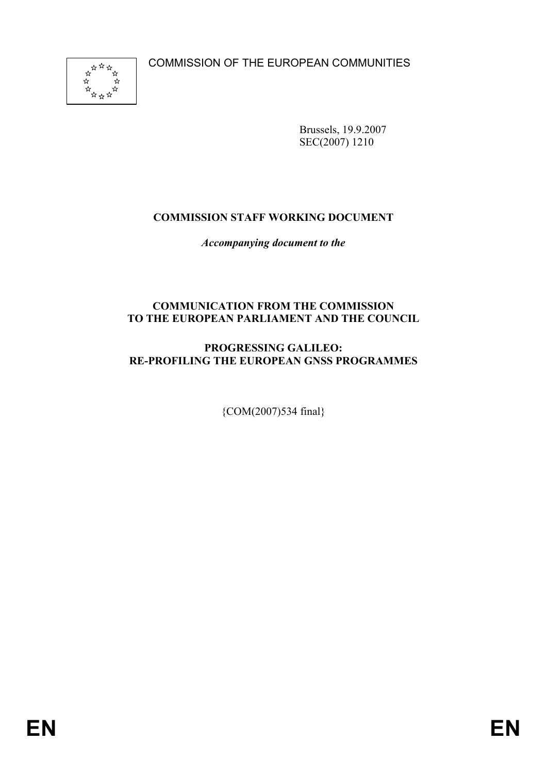COMMISSION OF THE EUROPEAN COMMUNITIES



Brussels, 19.9.2007 SEC(2007) 1210

# **COMMISSION STAFF WORKING DOCUMENT**

*Accompanying document to the* 

## **COMMUNICATION FROM THE COMMISSION TO THE EUROPEAN PARLIAMENT AND THE COUNCIL**

# **PROGRESSING GALILEO: RE-PROFILING THE EUROPEAN GNSS PROGRAMMES**

{COM(2007)534 final}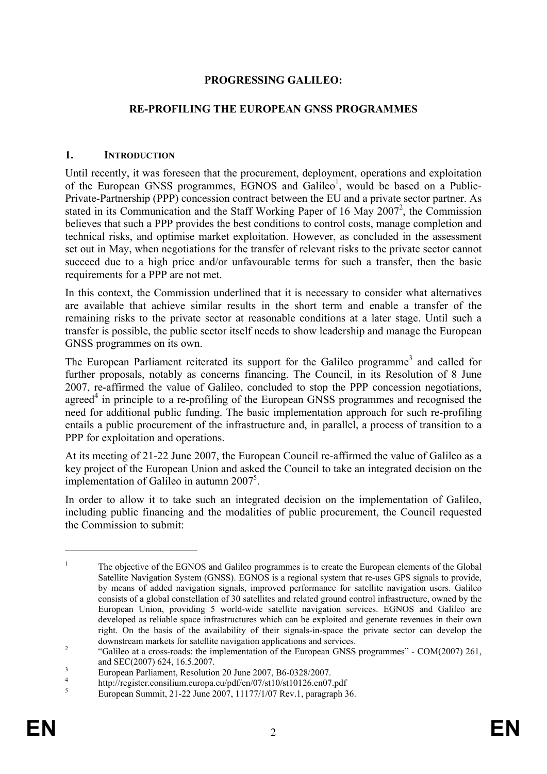## **PROGRESSING GALILEO:**

### **RE-PROFILING THE EUROPEAN GNSS PROGRAMMES**

#### **1. INTRODUCTION**

Until recently, it was foreseen that the procurement, deployment, operations and exploitation of the European GNSS programmes, EGNOS and Galileo<sup>1</sup>, would be based on a Public-Private-Partnership (PPP) concession contract between the EU and a private sector partner. As stated in its Communication and the Staff Working Paper of 16 May 2007<sup>2</sup>, the Commission believes that such a PPP provides the best conditions to control costs, manage completion and technical risks, and optimise market exploitation. However, as concluded in the assessment set out in May, when negotiations for the transfer of relevant risks to the private sector cannot succeed due to a high price and/or unfavourable terms for such a transfer, then the basic requirements for a PPP are not met.

In this context, the Commission underlined that it is necessary to consider what alternatives are available that achieve similar results in the short term and enable a transfer of the remaining risks to the private sector at reasonable conditions at a later stage. Until such a transfer is possible, the public sector itself needs to show leadership and manage the European GNSS programmes on its own.

The European Parliament reiterated its support for the Galileo programme<sup>3</sup> and called for further proposals, notably as concerns financing. The Council, in its Resolution of 8 June 2007, re-affirmed the value of Galileo, concluded to stop the PPP concession negotiations, agreed<sup>4</sup> in principle to a re-profiling of the European GNSS programmes and recognised the need for additional public funding. The basic implementation approach for such re-profiling entails a public procurement of the infrastructure and, in parallel, a process of transition to a PPP for exploitation and operations.

At its meeting of 21-22 June 2007, the European Council re-affirmed the value of Galileo as a key project of the European Union and asked the Council to take an integrated decision on the implementation of Galileo in autumn 2007<sup>5</sup>.

In order to allow it to take such an integrated decision on the implementation of Galileo, including public financing and the modalities of public procurement, the Council requested the Commission to submit:

<sup>1</sup> The objective of the EGNOS and Galileo programmes is to create the European elements of the Global Satellite Navigation System (GNSS). EGNOS is a regional system that re-uses GPS signals to provide, by means of added navigation signals, improved performance for satellite navigation users. Galileo consists of a global constellation of 30 satellites and related ground control infrastructure, owned by the European Union, providing 5 world-wide satellite navigation services. EGNOS and Galileo are developed as reliable space infrastructures which can be exploited and generate revenues in their own right. On the basis of the availability of their signals-in-space the private sector can develop the downstream markets for satellite navigation applications and services.

 <sup>&</sup>quot;Galileo at a cross-roads: the implementation of the European GNSS programmes" - COM(2007) 261, and  $SEC(2007) 624, 16.5.2007$ .

European Parliament, Resolution 20 June 2007, B6-0328/2007.

<sup>&</sup>lt;sup>4</sup> http://register.consilium.europa.eu/pdf/en/07/st10/st10126.en07.pdf

European Summit, 21-22 June 2007, 11177/1/07 Rev.1, paragraph 36.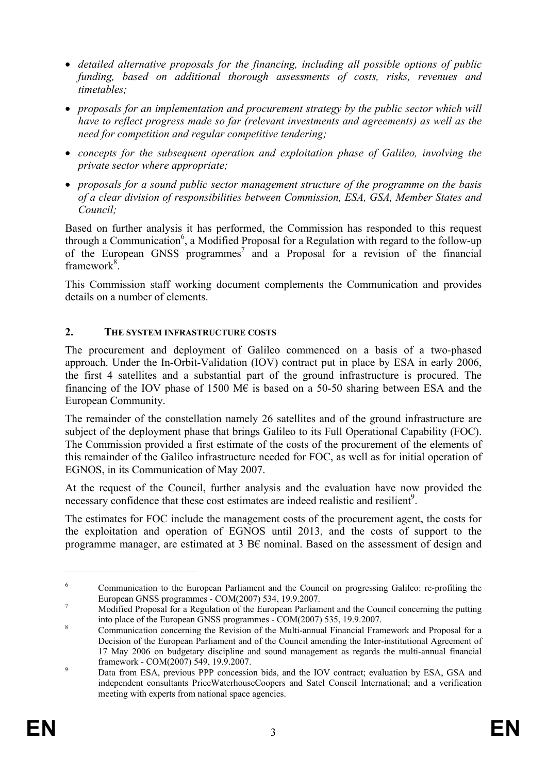- *detailed alternative proposals for the financing, including all possible options of public funding, based on additional thorough assessments of costs, risks, revenues and timetables;*
- *proposals for an implementation and procurement strategy by the public sector which will have to reflect progress made so far (relevant investments and agreements) as well as the need for competition and regular competitive tendering;*
- *concepts for the subsequent operation and exploitation phase of Galileo, involving the private sector where appropriate;*
- *proposals for a sound public sector management structure of the programme on the basis of a clear division of responsibilities between Commission, ESA, GSA, Member States and Council;*

Based on further analysis it has performed, the Commission has responded to this request through a Communication<sup>6</sup>, a Modified Proposal for a Regulation with regard to the follow-up of the European GNSS programmes<sup>7</sup> and a Proposal for a revision of the financial framework<sup>8</sup>.

This Commission staff working document complements the Communication and provides details on a number of elements.

### **2. THE SYSTEM INFRASTRUCTURE COSTS**

The procurement and deployment of Galileo commenced on a basis of a two-phased approach. Under the In-Orbit-Validation (IOV) contract put in place by ESA in early 2006, the first 4 satellites and a substantial part of the ground infrastructure is procured. The financing of the IOV phase of 1500 M $\epsilon$  is based on a 50-50 sharing between ESA and the European Community.

The remainder of the constellation namely 26 satellites and of the ground infrastructure are subject of the deployment phase that brings Galileo to its Full Operational Capability (FOC). The Commission provided a first estimate of the costs of the procurement of the elements of this remainder of the Galileo infrastructure needed for FOC, as well as for initial operation of EGNOS, in its Communication of May 2007.

At the request of the Council, further analysis and the evaluation have now provided the necessary confidence that these cost estimates are indeed realistic and resilient<sup>9</sup>.

The estimates for FOC include the management costs of the procurement agent, the costs for the exploitation and operation of EGNOS until 2013, and the costs of support to the programme manager, are estimated at 3 B€ nominal. Based on the assessment of design and

<sup>6</sup> Communication to the European Parliament and the Council on progressing Galileo: re-profiling the European GNSS programmes - COM(2007) 534, 19.9.2007.

Modified Proposal for a Regulation of the European Parliament and the Council concerning the putting into place of the European GNSS programmes - COM(2007) 535, 19.9.2007.

Communication concerning the Revision of the Multi-annual Financial Framework and Proposal for a Decision of the European Parliament and of the Council amending the Inter-institutional Agreement of 17 May 2006 on budgetary discipline and sound management as regards the multi-annual financial framework - COM(2007) 549, 19.9.2007.

Data from ESA, previous PPP concession bids, and the IOV contract; evaluation by ESA, GSA and independent consultants PriceWaterhouseCoopers and Satel Conseil International; and a verification meeting with experts from national space agencies.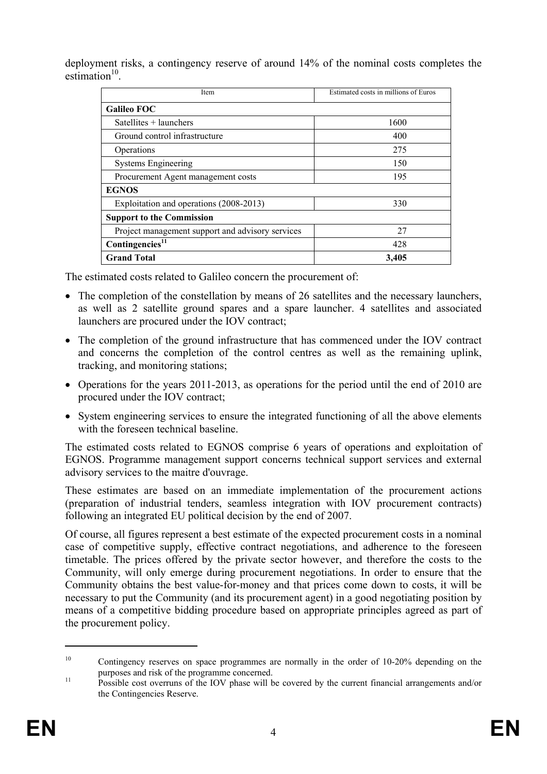deployment risks, a contingency reserve of around 14% of the nominal costs completes the  $estimation<sup>10</sup>$ 

| Item                                             | Estimated costs in millions of Euros |  |  |  |
|--------------------------------------------------|--------------------------------------|--|--|--|
| <b>Galileo FOC</b>                               |                                      |  |  |  |
| Satellites + launchers                           | 1600                                 |  |  |  |
| Ground control infrastructure                    | 400                                  |  |  |  |
| Operations                                       | 275                                  |  |  |  |
| <b>Systems Engineering</b>                       | 150                                  |  |  |  |
| Procurement Agent management costs               | 195                                  |  |  |  |
| <b>EGNOS</b>                                     |                                      |  |  |  |
| Exploitation and operations (2008-2013)          | 330                                  |  |  |  |
| <b>Support to the Commission</b>                 |                                      |  |  |  |
| Project management support and advisory services | 27                                   |  |  |  |
| Contingencies <sup>11</sup>                      | 428                                  |  |  |  |
| <b>Grand Total</b>                               | 3,405                                |  |  |  |

The estimated costs related to Galileo concern the procurement of:

- The completion of the constellation by means of 26 satellites and the necessary launchers, as well as 2 satellite ground spares and a spare launcher. 4 satellites and associated launchers are procured under the IOV contract;
- The completion of the ground infrastructure that has commenced under the IOV contract and concerns the completion of the control centres as well as the remaining uplink, tracking, and monitoring stations;
- Operations for the years 2011-2013, as operations for the period until the end of 2010 are procured under the IOV contract;
- System engineering services to ensure the integrated functioning of all the above elements with the foreseen technical baseline.

The estimated costs related to EGNOS comprise 6 years of operations and exploitation of EGNOS. Programme management support concerns technical support services and external advisory services to the maitre d'ouvrage.

These estimates are based on an immediate implementation of the procurement actions (preparation of industrial tenders, seamless integration with IOV procurement contracts) following an integrated EU political decision by the end of 2007.

Of course, all figures represent a best estimate of the expected procurement costs in a nominal case of competitive supply, effective contract negotiations, and adherence to the foreseen timetable. The prices offered by the private sector however, and therefore the costs to the Community, will only emerge during procurement negotiations. In order to ensure that the Community obtains the best value-for-money and that prices come down to costs, it will be necessary to put the Community (and its procurement agent) in a good negotiating position by means of a competitive bidding procedure based on appropriate principles agreed as part of the procurement policy.

<sup>&</sup>lt;sup>10</sup> Contingency reserves on space programmes are normally in the order of 10-20% depending on the purposes and risk of the programme concerned.<br>
<sup>11</sup> Possible cost overruns of the IOV phase will be covered by the current financial arrangements and/or

the Contingencies Reserve.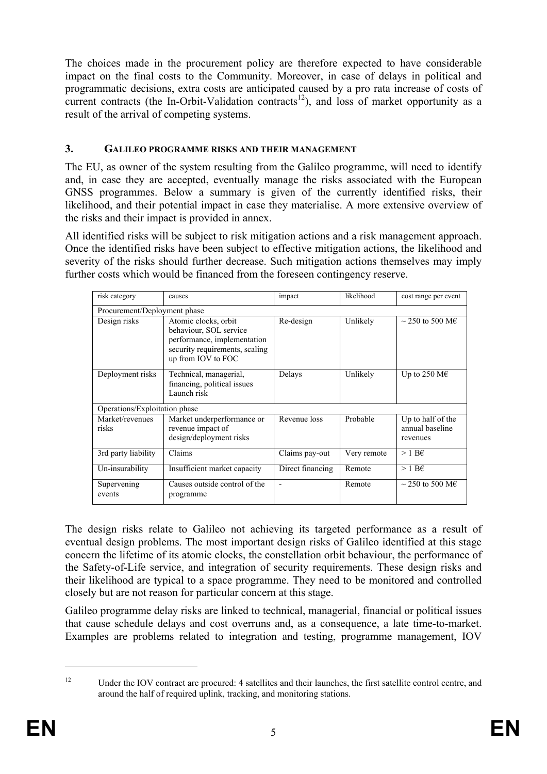The choices made in the procurement policy are therefore expected to have considerable impact on the final costs to the Community. Moreover, in case of delays in political and programmatic decisions, extra costs are anticipated caused by a pro rata increase of costs of current contracts (the In-Orbit-Validation contracts<sup>12</sup>), and loss of market opportunity as a result of the arrival of competing systems.

## **3. GALILEO PROGRAMME RISKS AND THEIR MANAGEMENT**

The EU, as owner of the system resulting from the Galileo programme, will need to identify and, in case they are accepted, eventually manage the risks associated with the European GNSS programmes. Below a summary is given of the currently identified risks, their likelihood, and their potential impact in case they materialise. A more extensive overview of the risks and their impact is provided in annex.

All identified risks will be subject to risk mitigation actions and a risk management approach. Once the identified risks have been subject to effective mitigation actions, the likelihood and severity of the risks should further decrease. Such mitigation actions themselves may imply further costs which would be financed from the foreseen contingency reserve.

| risk category                 | causes                                                                                                                                | impact           | likelihood  | cost range per event                             |
|-------------------------------|---------------------------------------------------------------------------------------------------------------------------------------|------------------|-------------|--------------------------------------------------|
| Procurement/Deployment phase  |                                                                                                                                       |                  |             |                                                  |
| Design risks                  | Atomic clocks, orbit<br>behaviour, SOL service<br>performance, implementation<br>security requirements, scaling<br>up from IOV to FOC | Re-design        | Unlikely    | $\sim$ 250 to 500 ME                             |
| Deployment risks              | Technical, managerial,<br>financing, political issues<br>Launch risk                                                                  | Delays           | Unlikely    | Up to 250 M $\epsilon$                           |
| Operations/Exploitation phase |                                                                                                                                       |                  |             |                                                  |
| Market/revenues<br>risks      | Market underperformance or<br>revenue impact of<br>design/deployment risks                                                            | Revenue loss     | Probable    | Up to half of the<br>annual baseline<br>revenues |
| 3rd party liability           | Claims                                                                                                                                | Claims pay-out   | Very remote | $>1$ B <sub>E</sub>                              |
| Un-insurability               | Insufficient market capacity                                                                                                          | Direct financing | Remote      | $>1$ B <sub>E</sub>                              |
| Supervening<br>events         | Causes outside control of the<br>programme                                                                                            |                  | Remote      | $\sim$ 250 to 500 ME                             |

The design risks relate to Galileo not achieving its targeted performance as a result of eventual design problems. The most important design risks of Galileo identified at this stage concern the lifetime of its atomic clocks, the constellation orbit behaviour, the performance of the Safety-of-Life service, and integration of security requirements. These design risks and their likelihood are typical to a space programme. They need to be monitored and controlled closely but are not reason for particular concern at this stage.

Galileo programme delay risks are linked to technical, managerial, financial or political issues that cause schedule delays and cost overruns and, as a consequence, a late time-to-market. Examples are problems related to integration and testing, programme management, IOV

<sup>&</sup>lt;sup>12</sup> Under the IOV contract are procured: 4 satellites and their launches, the first satellite control centre, and around the half of required uplink, tracking, and monitoring stations.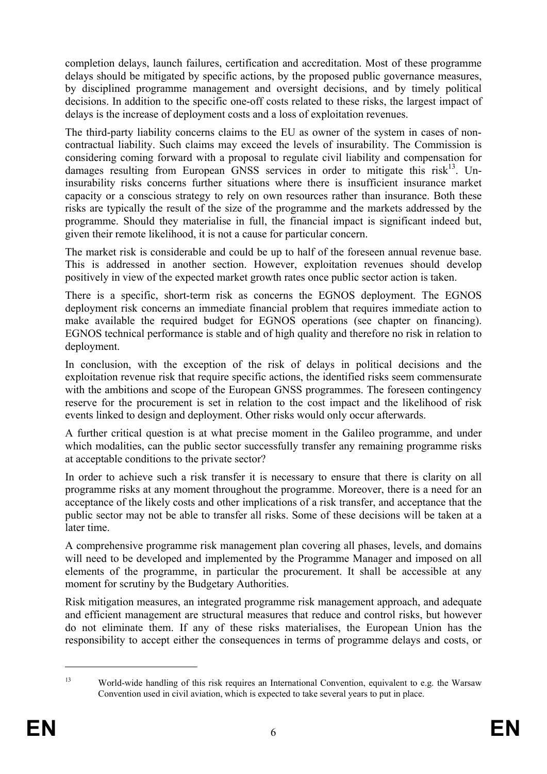completion delays, launch failures, certification and accreditation. Most of these programme delays should be mitigated by specific actions, by the proposed public governance measures, by disciplined programme management and oversight decisions, and by timely political decisions. In addition to the specific one-off costs related to these risks, the largest impact of delays is the increase of deployment costs and a loss of exploitation revenues.

The third-party liability concerns claims to the EU as owner of the system in cases of noncontractual liability. Such claims may exceed the levels of insurability. The Commission is considering coming forward with a proposal to regulate civil liability and compensation for damages resulting from European GNSS services in order to mitigate this risk<sup>13</sup>. Uninsurability risks concerns further situations where there is insufficient insurance market capacity or a conscious strategy to rely on own resources rather than insurance. Both these risks are typically the result of the size of the programme and the markets addressed by the programme. Should they materialise in full, the financial impact is significant indeed but, given their remote likelihood, it is not a cause for particular concern.

The market risk is considerable and could be up to half of the foreseen annual revenue base. This is addressed in another section. However, exploitation revenues should develop positively in view of the expected market growth rates once public sector action is taken.

There is a specific, short-term risk as concerns the EGNOS deployment. The EGNOS deployment risk concerns an immediate financial problem that requires immediate action to make available the required budget for EGNOS operations (see chapter on financing). EGNOS technical performance is stable and of high quality and therefore no risk in relation to deployment.

In conclusion, with the exception of the risk of delays in political decisions and the exploitation revenue risk that require specific actions, the identified risks seem commensurate with the ambitions and scope of the European GNSS programmes. The foreseen contingency reserve for the procurement is set in relation to the cost impact and the likelihood of risk events linked to design and deployment. Other risks would only occur afterwards.

A further critical question is at what precise moment in the Galileo programme, and under which modalities, can the public sector successfully transfer any remaining programme risks at acceptable conditions to the private sector?

In order to achieve such a risk transfer it is necessary to ensure that there is clarity on all programme risks at any moment throughout the programme. Moreover, there is a need for an acceptance of the likely costs and other implications of a risk transfer, and acceptance that the public sector may not be able to transfer all risks. Some of these decisions will be taken at a later time.

A comprehensive programme risk management plan covering all phases, levels, and domains will need to be developed and implemented by the Programme Manager and imposed on all elements of the programme, in particular the procurement. It shall be accessible at any moment for scrutiny by the Budgetary Authorities.

Risk mitigation measures, an integrated programme risk management approach, and adequate and efficient management are structural measures that reduce and control risks, but however do not eliminate them. If any of these risks materialises, the European Union has the responsibility to accept either the consequences in terms of programme delays and costs, or

<sup>13</sup> World-wide handling of this risk requires an International Convention, equivalent to e.g. the Warsaw Convention used in civil aviation, which is expected to take several years to put in place.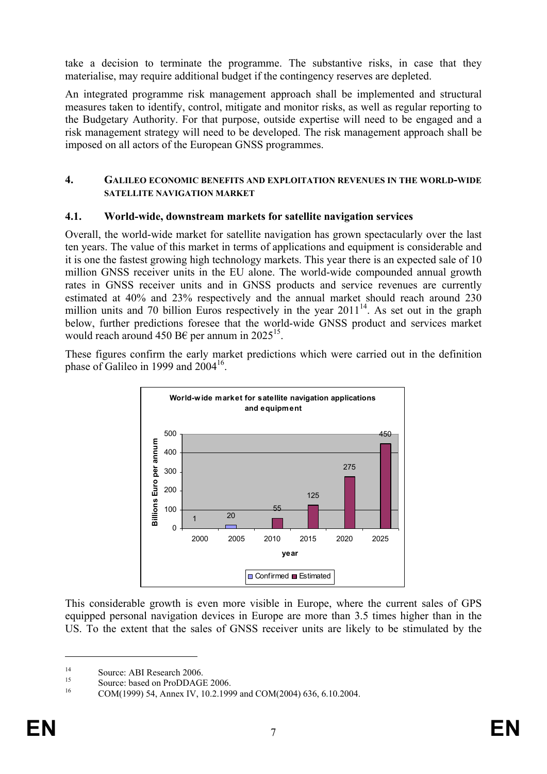take a decision to terminate the programme. The substantive risks, in case that they materialise, may require additional budget if the contingency reserves are depleted.

An integrated programme risk management approach shall be implemented and structural measures taken to identify, control, mitigate and monitor risks, as well as regular reporting to the Budgetary Authority. For that purpose, outside expertise will need to be engaged and a risk management strategy will need to be developed. The risk management approach shall be imposed on all actors of the European GNSS programmes.

#### **4. GALILEO ECONOMIC BENEFITS AND EXPLOITATION REVENUES IN THE WORLD-WIDE SATELLITE NAVIGATION MARKET**

### **4.1. World-wide, downstream markets for satellite navigation services**

Overall, the world-wide market for satellite navigation has grown spectacularly over the last ten years. The value of this market in terms of applications and equipment is considerable and it is one the fastest growing high technology markets. This year there is an expected sale of 10 million GNSS receiver units in the EU alone. The world-wide compounded annual growth rates in GNSS receiver units and in GNSS products and service revenues are currently estimated at 40% and 23% respectively and the annual market should reach around 230 million units and 70 billion Euros respectively in the year  $2011<sup>14</sup>$ . As set out in the graph below, further predictions foresee that the world-wide GNSS product and services market would reach around 450 B€ per annum in 2025<sup>15</sup>.

These figures confirm the early market predictions which were carried out in the definition phase of Galileo in 1999 and  $2004^{16}$ .



This considerable growth is even more visible in Europe, where the current sales of GPS equipped personal navigation devices in Europe are more than 3.5 times higher than in the US. To the extent that the sales of GNSS receiver units are likely to be stimulated by the

<u>.</u>

<sup>&</sup>lt;sup>14</sup> Source: ABI Research 2006.

<sup>&</sup>lt;sup>15</sup> Source: based on ProDDAGE 2006.

<sup>16</sup> COM(1999) 54, Annex IV, 10.2.1999 and COM(2004) 636, 6.10.2004.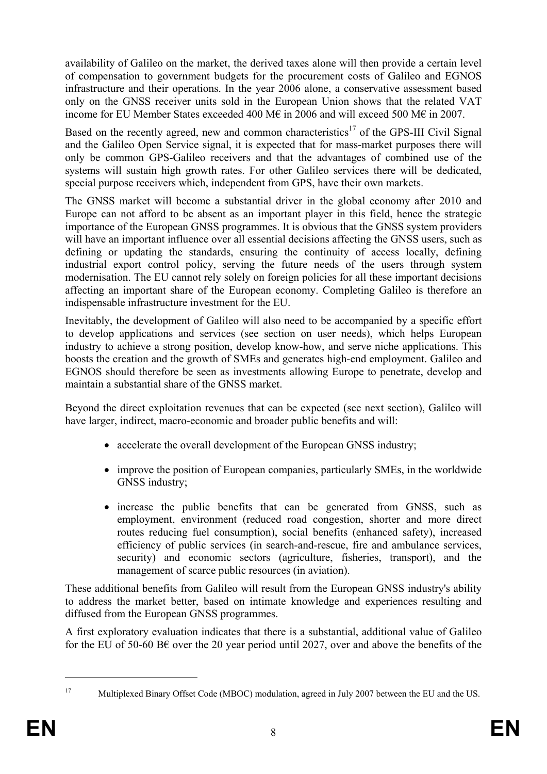availability of Galileo on the market, the derived taxes alone will then provide a certain level of compensation to government budgets for the procurement costs of Galileo and EGNOS infrastructure and their operations. In the year 2006 alone, a conservative assessment based only on the GNSS receiver units sold in the European Union shows that the related VAT income for EU Member States exceeded 400 M€ in 2006 and will exceed 500 M€ in 2007.

Based on the recently agreed, new and common characteristics<sup>17</sup> of the GPS-III Civil Signal and the Galileo Open Service signal, it is expected that for mass-market purposes there will only be common GPS-Galileo receivers and that the advantages of combined use of the systems will sustain high growth rates. For other Galileo services there will be dedicated, special purpose receivers which, independent from GPS, have their own markets.

The GNSS market will become a substantial driver in the global economy after 2010 and Europe can not afford to be absent as an important player in this field, hence the strategic importance of the European GNSS programmes. It is obvious that the GNSS system providers will have an important influence over all essential decisions affecting the GNSS users, such as defining or updating the standards, ensuring the continuity of access locally, defining industrial export control policy, serving the future needs of the users through system modernisation. The EU cannot rely solely on foreign policies for all these important decisions affecting an important share of the European economy. Completing Galileo is therefore an indispensable infrastructure investment for the EU.

Inevitably, the development of Galileo will also need to be accompanied by a specific effort to develop applications and services (see section on user needs), which helps European industry to achieve a strong position, develop know-how, and serve niche applications. This boosts the creation and the growth of SMEs and generates high-end employment. Galileo and EGNOS should therefore be seen as investments allowing Europe to penetrate, develop and maintain a substantial share of the GNSS market.

Beyond the direct exploitation revenues that can be expected (see next section), Galileo will have larger, indirect, macro-economic and broader public benefits and will:

- accelerate the overall development of the European GNSS industry;
- improve the position of European companies, particularly SMEs, in the worldwide GNSS industry;
- increase the public benefits that can be generated from GNSS, such as employment, environment (reduced road congestion, shorter and more direct routes reducing fuel consumption), social benefits (enhanced safety), increased efficiency of public services (in search-and-rescue, fire and ambulance services, security) and economic sectors (agriculture, fisheries, transport), and the management of scarce public resources (in aviation).

These additional benefits from Galileo will result from the European GNSS industry's ability to address the market better, based on intimate knowledge and experiences resulting and diffused from the European GNSS programmes.

A first exploratory evaluation indicates that there is a substantial, additional value of Galileo for the EU of 50-60 B€ over the 20 year period until 2027, over and above the benefits of the

<sup>1</sup> 

<sup>&</sup>lt;sup>17</sup> Multiplexed Binary Offset Code (MBOC) modulation, agreed in July 2007 between the EU and the US.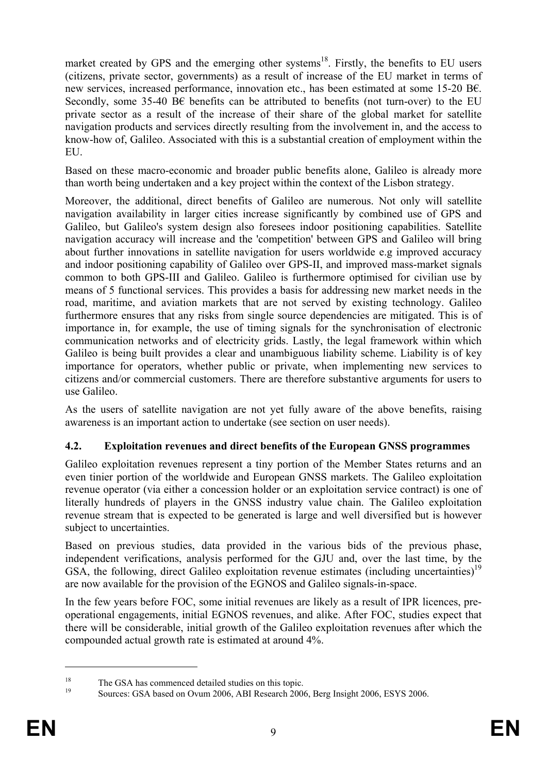market created by GPS and the emerging other systems<sup>18</sup>. Firstly, the benefits to EU users (citizens, private sector, governments) as a result of increase of the EU market in terms of new services, increased performance, innovation etc., has been estimated at some 15-20 B€. Secondly, some 35-40 B€ benefits can be attributed to benefits (not turn-over) to the EU private sector as a result of the increase of their share of the global market for satellite navigation products and services directly resulting from the involvement in, and the access to know-how of, Galileo. Associated with this is a substantial creation of employment within the EU.

Based on these macro-economic and broader public benefits alone, Galileo is already more than worth being undertaken and a key project within the context of the Lisbon strategy.

Moreover, the additional, direct benefits of Galileo are numerous. Not only will satellite navigation availability in larger cities increase significantly by combined use of GPS and Galileo, but Galileo's system design also foresees indoor positioning capabilities. Satellite navigation accuracy will increase and the 'competition' between GPS and Galileo will bring about further innovations in satellite navigation for users worldwide e.g improved accuracy and indoor positioning capability of Galileo over GPS-II, and improved mass-market signals common to both GPS-III and Galileo. Galileo is furthermore optimised for civilian use by means of 5 functional services. This provides a basis for addressing new market needs in the road, maritime, and aviation markets that are not served by existing technology. Galileo furthermore ensures that any risks from single source dependencies are mitigated. This is of importance in, for example, the use of timing signals for the synchronisation of electronic communication networks and of electricity grids. Lastly, the legal framework within which Galileo is being built provides a clear and unambiguous liability scheme. Liability is of key importance for operators, whether public or private, when implementing new services to citizens and/or commercial customers. There are therefore substantive arguments for users to use Galileo.

As the users of satellite navigation are not yet fully aware of the above benefits, raising awareness is an important action to undertake (see section on user needs).

# **4.2. Exploitation revenues and direct benefits of the European GNSS programmes**

Galileo exploitation revenues represent a tiny portion of the Member States returns and an even tinier portion of the worldwide and European GNSS markets. The Galileo exploitation revenue operator (via either a concession holder or an exploitation service contract) is one of literally hundreds of players in the GNSS industry value chain. The Galileo exploitation revenue stream that is expected to be generated is large and well diversified but is however subject to uncertainties.

Based on previous studies, data provided in the various bids of the previous phase, independent verifications, analysis performed for the GJU and, over the last time, by the GSA, the following, direct Galileo exploitation revenue estimates (including uncertainties)<sup>19</sup> are now available for the provision of the EGNOS and Galileo signals-in-space.

In the few years before FOC, some initial revenues are likely as a result of IPR licences, preoperational engagements, initial EGNOS revenues, and alike. After FOC, studies expect that there will be considerable, initial growth of the Galileo exploitation revenues after which the compounded actual growth rate is estimated at around 4%.

<sup>&</sup>lt;sup>18</sup> The GSA has commenced detailed studies on this topic.

<sup>19</sup> Sources: GSA based on Ovum 2006, ABI Research 2006, Berg Insight 2006, ESYS 2006.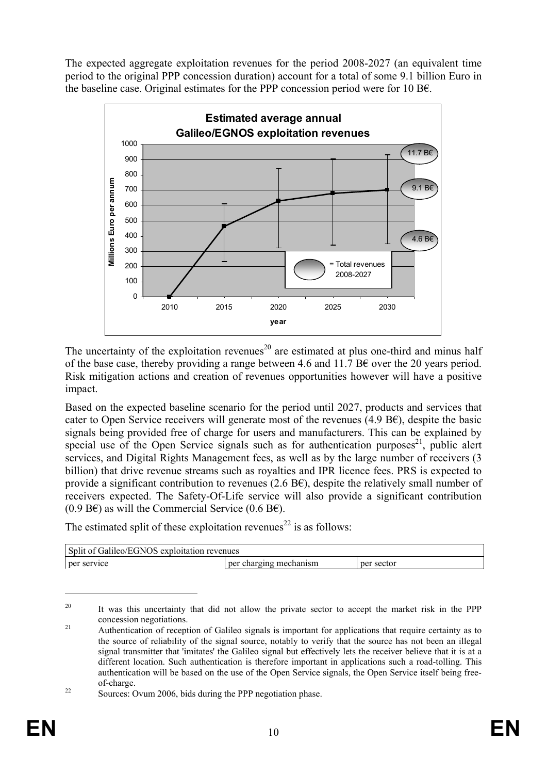The expected aggregate exploitation revenues for the period 2008-2027 (an equivalent time period to the original PPP concession duration) account for a total of some 9.1 billion Euro in the baseline case. Original estimates for the PPP concession period were for 10 B $\epsilon$ .



The uncertainty of the exploitation revenues<sup>20</sup> are estimated at plus one-third and minus half of the base case, thereby providing a range between 4.6 and 11.7 B $\epsilon$  over the 20 years period. Risk mitigation actions and creation of revenues opportunities however will have a positive impact.

Based on the expected baseline scenario for the period until 2027, products and services that cater to Open Service receivers will generate most of the revenues  $(4.9 \text{ Bf})$ , despite the basic signals being provided free of charge for users and manufacturers. This can be explained by special use of the Open Service signals such as for authentication purposes<sup>21</sup>, public alert services, and Digital Rights Management fees, as well as by the large number of receivers (3 billion) that drive revenue streams such as royalties and IPR licence fees. PRS is expected to provide a significant contribution to revenues (2.6 B $\epsilon$ ), despite the relatively small number of receivers expected. The Safety-Of-Life service will also provide a significant contribution (0.9 B€) as will the Commercial Service (0.6 B€).

The estimated split of these exploitation revenues<sup>22</sup> is as follows:

| Split of Galileo/EGNOS exploitation revenues |                        |            |  |
|----------------------------------------------|------------------------|------------|--|
| per service                                  | per charging mechanism | per sector |  |

<sup>&</sup>lt;sup>20</sup> It was this uncertainty that did not allow the private sector to accept the market risk in the PPP concession negotiations. 21 Authentication of reception of Galileo signals is important for applications that require certainty as to

<u>.</u>

the source of reliability of the signal source, notably to verify that the source has not been an illegal signal transmitter that 'imitates' the Galileo signal but effectively lets the receiver believe that it is at a different location. Such authentication is therefore important in applications such a road-tolling. This authentication will be based on the use of the Open Service signals, the Open Service itself being freeof-charge.<br><sup>22</sup> Sources: Ovum 2006, bids during the PPP negotiation phase.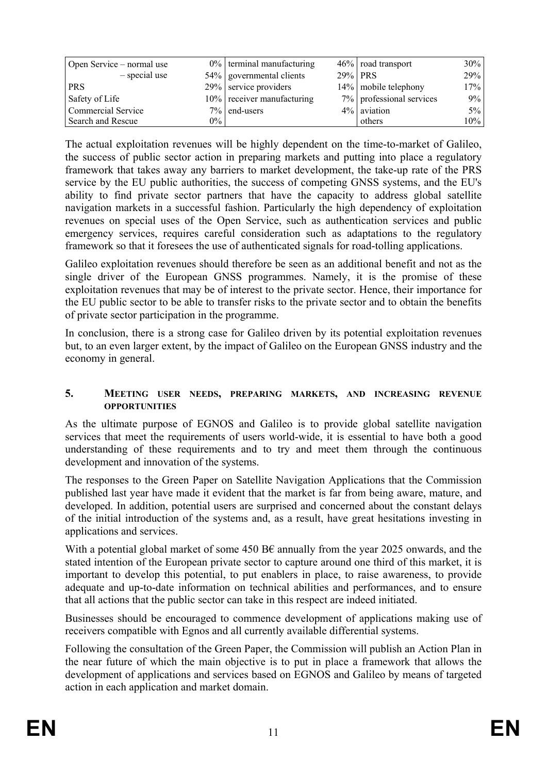| Open Service – normal use |       | $0\%$ terminal manufacturing |         | 46%   road transport     | $30\%$     |
|---------------------------|-------|------------------------------|---------|--------------------------|------------|
| $-$ special use           |       | 54% governmental clients     | 29% PRS |                          | <b>29%</b> |
| <b>PRS</b>                |       | 29% service providers        |         | 14% mobile telephony     | 17%        |
| Safety of Life            |       | 10% receiver manufacturing   |         | 7% professional services | $9\%$      |
| <b>Commercial Service</b> |       | $7\%$ end-users              |         | $4\%$ aviation           | $5\%$      |
| <b>Search and Rescue</b>  | $0\%$ |                              |         | others                   | $10\%$     |

The actual exploitation revenues will be highly dependent on the time-to-market of Galileo, the success of public sector action in preparing markets and putting into place a regulatory framework that takes away any barriers to market development, the take-up rate of the PRS service by the EU public authorities, the success of competing GNSS systems, and the EU's ability to find private sector partners that have the capacity to address global satellite navigation markets in a successful fashion. Particularly the high dependency of exploitation revenues on special uses of the Open Service, such as authentication services and public emergency services, requires careful consideration such as adaptations to the regulatory framework so that it foresees the use of authenticated signals for road-tolling applications.

Galileo exploitation revenues should therefore be seen as an additional benefit and not as the single driver of the European GNSS programmes. Namely, it is the promise of these exploitation revenues that may be of interest to the private sector. Hence, their importance for the EU public sector to be able to transfer risks to the private sector and to obtain the benefits of private sector participation in the programme.

In conclusion, there is a strong case for Galileo driven by its potential exploitation revenues but, to an even larger extent, by the impact of Galileo on the European GNSS industry and the economy in general.

#### **5. MEETING USER NEEDS, PREPARING MARKETS, AND INCREASING REVENUE OPPORTUNITIES**

As the ultimate purpose of EGNOS and Galileo is to provide global satellite navigation services that meet the requirements of users world-wide, it is essential to have both a good understanding of these requirements and to try and meet them through the continuous development and innovation of the systems.

The responses to the Green Paper on Satellite Navigation Applications that the Commission published last year have made it evident that the market is far from being aware, mature, and developed. In addition, potential users are surprised and concerned about the constant delays of the initial introduction of the systems and, as a result, have great hesitations investing in applications and services.

With a potential global market of some 450 B $\epsilon$  annually from the year 2025 onwards, and the stated intention of the European private sector to capture around one third of this market, it is important to develop this potential, to put enablers in place, to raise awareness, to provide adequate and up-to-date information on technical abilities and performances, and to ensure that all actions that the public sector can take in this respect are indeed initiated.

Businesses should be encouraged to commence development of applications making use of receivers compatible with Egnos and all currently available differential systems.

Following the consultation of the Green Paper, the Commission will publish an Action Plan in the near future of which the main objective is to put in place a framework that allows the development of applications and services based on EGNOS and Galileo by means of targeted action in each application and market domain.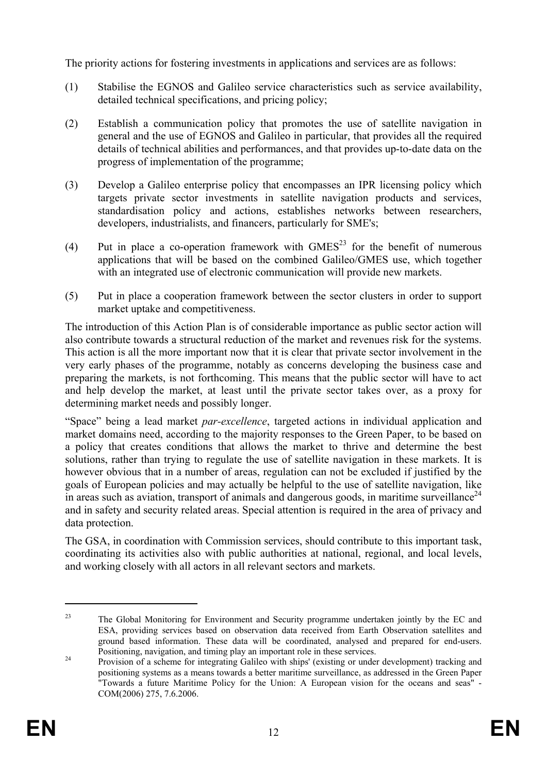The priority actions for fostering investments in applications and services are as follows:

- (1) Stabilise the EGNOS and Galileo service characteristics such as service availability, detailed technical specifications, and pricing policy;
- (2) Establish a communication policy that promotes the use of satellite navigation in general and the use of EGNOS and Galileo in particular, that provides all the required details of technical abilities and performances, and that provides up-to-date data on the progress of implementation of the programme;
- (3) Develop a Galileo enterprise policy that encompasses an IPR licensing policy which targets private sector investments in satellite navigation products and services, standardisation policy and actions, establishes networks between researchers, developers, industrialists, and financers, particularly for SME's;
- (4) Put in place a co-operation framework with  $GMES<sup>23</sup>$  for the benefit of numerous applications that will be based on the combined Galileo/GMES use, which together with an integrated use of electronic communication will provide new markets.
- (5) Put in place a cooperation framework between the sector clusters in order to support market uptake and competitiveness.

The introduction of this Action Plan is of considerable importance as public sector action will also contribute towards a structural reduction of the market and revenues risk for the systems. This action is all the more important now that it is clear that private sector involvement in the very early phases of the programme, notably as concerns developing the business case and preparing the markets, is not forthcoming. This means that the public sector will have to act and help develop the market, at least until the private sector takes over, as a proxy for determining market needs and possibly longer.

"Space" being a lead market *par-excellence*, targeted actions in individual application and market domains need, according to the majority responses to the Green Paper, to be based on a policy that creates conditions that allows the market to thrive and determine the best solutions, rather than trying to regulate the use of satellite navigation in these markets. It is however obvious that in a number of areas, regulation can not be excluded if justified by the goals of European policies and may actually be helpful to the use of satellite navigation, like in areas such as aviation, transport of animals and dangerous goods, in maritime surveillance<sup>24</sup> and in safety and security related areas. Special attention is required in the area of privacy and data protection.

The GSA, in coordination with Commission services, should contribute to this important task, coordinating its activities also with public authorities at national, regional, and local levels, and working closely with all actors in all relevant sectors and markets.

<sup>&</sup>lt;sup>23</sup> The Global Monitoring for Environment and Security programme undertaken jointly by the EC and ESA, providing services based on observation data received from Earth Observation satellites and ground based information. These data will be coordinated, analysed and prepared for end-users.

Positioning, navigation, and timing play an important role in these services.<br>
Provision of a scheme for integrating Galileo with ships' (existing or under development) tracking and positioning systems as a means towards a better maritime surveillance, as addressed in the Green Paper "Towards a future Maritime Policy for the Union: A European vision for the oceans and seas" - COM(2006) 275, 7.6.2006.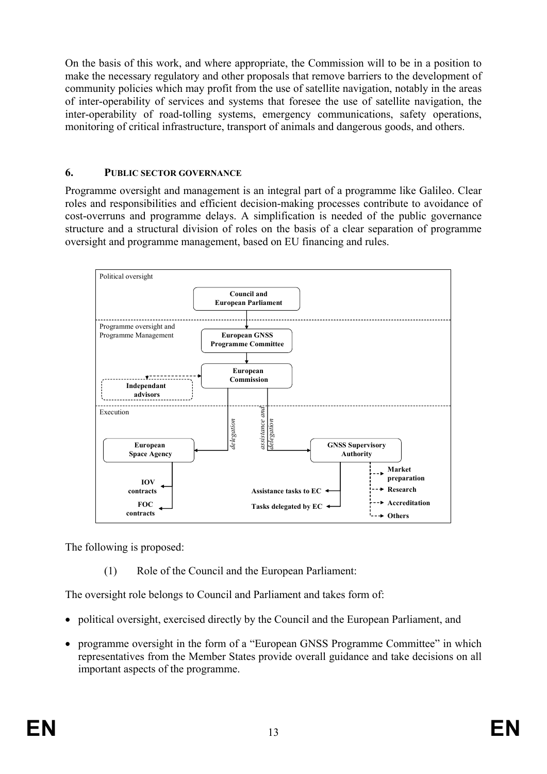On the basis of this work, and where appropriate, the Commission will to be in a position to make the necessary regulatory and other proposals that remove barriers to the development of community policies which may profit from the use of satellite navigation, notably in the areas of inter-operability of services and systems that foresee the use of satellite navigation, the inter-operability of road-tolling systems, emergency communications, safety operations, monitoring of critical infrastructure, transport of animals and dangerous goods, and others.

## **6. PUBLIC SECTOR GOVERNANCE**

Programme oversight and management is an integral part of a programme like Galileo. Clear roles and responsibilities and efficient decision-making processes contribute to avoidance of cost-overruns and programme delays. A simplification is needed of the public governance structure and a structural division of roles on the basis of a clear separation of programme oversight and programme management, based on EU financing and rules.



The following is proposed:

(1) Role of the Council and the European Parliament:

The oversight role belongs to Council and Parliament and takes form of:

- political oversight, exercised directly by the Council and the European Parliament, and
- programme oversight in the form of a "European GNSS Programme Committee" in which representatives from the Member States provide overall guidance and take decisions on all important aspects of the programme.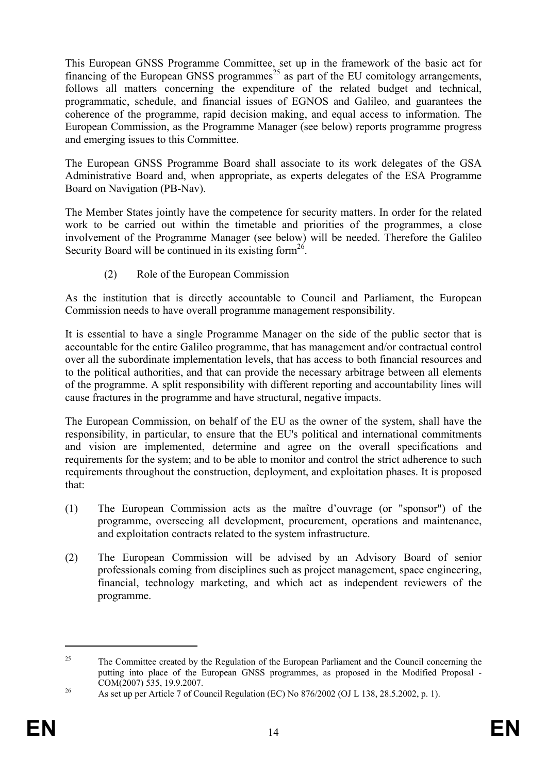This European GNSS Programme Committee, set up in the framework of the basic act for financing of the European GNSS programmes<sup>25</sup> as part of the EU comitology arrangements, follows all matters concerning the expenditure of the related budget and technical, programmatic, schedule, and financial issues of EGNOS and Galileo, and guarantees the coherence of the programme, rapid decision making, and equal access to information. The European Commission, as the Programme Manager (see below) reports programme progress and emerging issues to this Committee.

The European GNSS Programme Board shall associate to its work delegates of the GSA Administrative Board and, when appropriate, as experts delegates of the ESA Programme Board on Navigation (PB-Nav).

The Member States jointly have the competence for security matters. In order for the related work to be carried out within the timetable and priorities of the programmes, a close involvement of the Programme Manager (see below) will be needed. Therefore the Galileo Security Board will be continued in its existing form<sup>26</sup>.

(2) Role of the European Commission

As the institution that is directly accountable to Council and Parliament, the European Commission needs to have overall programme management responsibility.

It is essential to have a single Programme Manager on the side of the public sector that is accountable for the entire Galileo programme, that has management and/or contractual control over all the subordinate implementation levels, that has access to both financial resources and to the political authorities, and that can provide the necessary arbitrage between all elements of the programme. A split responsibility with different reporting and accountability lines will cause fractures in the programme and have structural, negative impacts.

The European Commission, on behalf of the EU as the owner of the system, shall have the responsibility, in particular, to ensure that the EU's political and international commitments and vision are implemented, determine and agree on the overall specifications and requirements for the system; and to be able to monitor and control the strict adherence to such requirements throughout the construction, deployment, and exploitation phases. It is proposed that:

- (1) The European Commission acts as the maître d'ouvrage (or "sponsor") of the programme, overseeing all development, procurement, operations and maintenance, and exploitation contracts related to the system infrastructure.
- (2) The European Commission will be advised by an Advisory Board of senior professionals coming from disciplines such as project management, space engineering, financial, technology marketing, and which act as independent reviewers of the programme.

<sup>&</sup>lt;sup>25</sup> The Committee created by the Regulation of the European Parliament and the Council concerning the putting into place of the European GNSS programmes, as proposed in the Modified Proposal - COM(2007) 535, 19.9.2007. 26 As set up per Article 7 of Council Regulation (EC) No 876/2002 (OJ L 138, 28.5.2002, p. 1).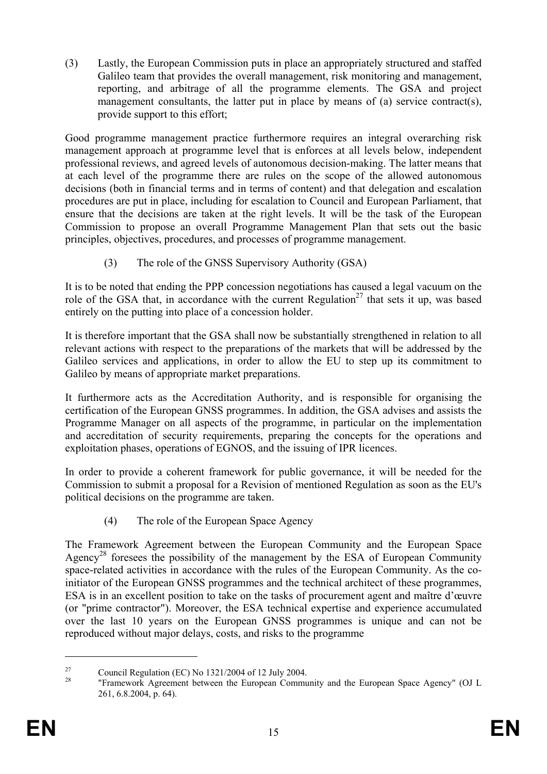(3) Lastly, the European Commission puts in place an appropriately structured and staffed Galileo team that provides the overall management, risk monitoring and management, reporting, and arbitrage of all the programme elements. The GSA and project management consultants, the latter put in place by means of (a) service contract(s), provide support to this effort;

Good programme management practice furthermore requires an integral overarching risk management approach at programme level that is enforces at all levels below, independent professional reviews, and agreed levels of autonomous decision-making. The latter means that at each level of the programme there are rules on the scope of the allowed autonomous decisions (both in financial terms and in terms of content) and that delegation and escalation procedures are put in place, including for escalation to Council and European Parliament, that ensure that the decisions are taken at the right levels. It will be the task of the European Commission to propose an overall Programme Management Plan that sets out the basic principles, objectives, procedures, and processes of programme management.

(3) The role of the GNSS Supervisory Authority (GSA)

It is to be noted that ending the PPP concession negotiations has caused a legal vacuum on the role of the GSA that, in accordance with the current Regulation<sup>27</sup> that sets it up, was based entirely on the putting into place of a concession holder.

It is therefore important that the GSA shall now be substantially strengthened in relation to all relevant actions with respect to the preparations of the markets that will be addressed by the Galileo services and applications, in order to allow the EU to step up its commitment to Galileo by means of appropriate market preparations.

It furthermore acts as the Accreditation Authority, and is responsible for organising the certification of the European GNSS programmes. In addition, the GSA advises and assists the Programme Manager on all aspects of the programme, in particular on the implementation and accreditation of security requirements, preparing the concepts for the operations and exploitation phases, operations of EGNOS, and the issuing of IPR licences.

In order to provide a coherent framework for public governance, it will be needed for the Commission to submit a proposal for a Revision of mentioned Regulation as soon as the EU's political decisions on the programme are taken.

(4) The role of the European Space Agency

The Framework Agreement between the European Community and the European Space Agency<sup>28</sup> foresees the possibility of the management by the ESA of European Community space-related activities in accordance with the rules of the European Community. As the coinitiator of the European GNSS programmes and the technical architect of these programmes, ESA is in an excellent position to take on the tasks of procurement agent and maître d'œuvre (or "prime contractor"). Moreover, the ESA technical expertise and experience accumulated over the last 10 years on the European GNSS programmes is unique and can not be reproduced without major delays, costs, and risks to the programme

<u>.</u>

<sup>&</sup>lt;sup>27</sup> Council Regulation (EC) No 1321/2004 of 12 July 2004.

<sup>&</sup>quot;Framework Agreement between the European Community and the European Space Agency" (OJ L 261, 6.8.2004, p. 64).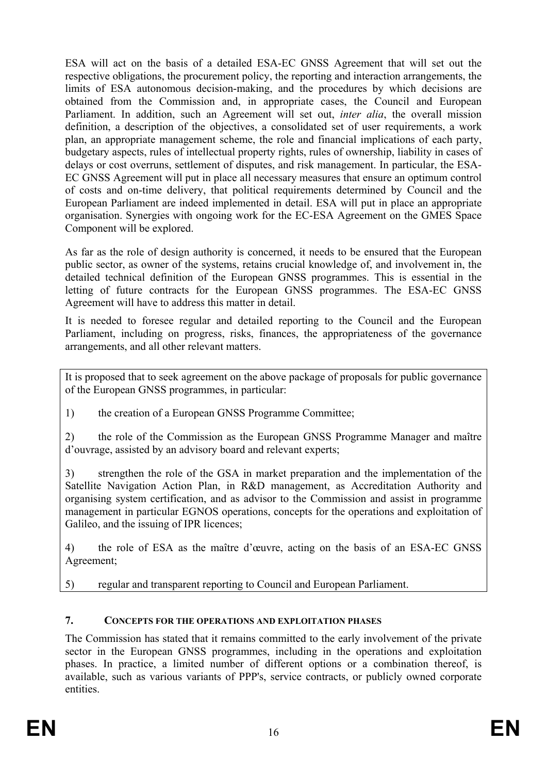ESA will act on the basis of a detailed ESA-EC GNSS Agreement that will set out the respective obligations, the procurement policy, the reporting and interaction arrangements, the limits of ESA autonomous decision-making, and the procedures by which decisions are obtained from the Commission and, in appropriate cases, the Council and European Parliament. In addition, such an Agreement will set out, *inter alia*, the overall mission definition, a description of the objectives, a consolidated set of user requirements, a work plan, an appropriate management scheme, the role and financial implications of each party, budgetary aspects, rules of intellectual property rights, rules of ownership, liability in cases of delays or cost overruns, settlement of disputes, and risk management. In particular, the ESA-EC GNSS Agreement will put in place all necessary measures that ensure an optimum control of costs and on-time delivery, that political requirements determined by Council and the European Parliament are indeed implemented in detail. ESA will put in place an appropriate organisation. Synergies with ongoing work for the EC-ESA Agreement on the GMES Space Component will be explored.

As far as the role of design authority is concerned, it needs to be ensured that the European public sector, as owner of the systems, retains crucial knowledge of, and involvement in, the detailed technical definition of the European GNSS programmes. This is essential in the letting of future contracts for the European GNSS programmes. The ESA-EC GNSS Agreement will have to address this matter in detail.

It is needed to foresee regular and detailed reporting to the Council and the European Parliament, including on progress, risks, finances, the appropriateness of the governance arrangements, and all other relevant matters.

It is proposed that to seek agreement on the above package of proposals for public governance of the European GNSS programmes, in particular:

1) the creation of a European GNSS Programme Committee;

2) the role of the Commission as the European GNSS Programme Manager and maître d'ouvrage, assisted by an advisory board and relevant experts;

3) strengthen the role of the GSA in market preparation and the implementation of the Satellite Navigation Action Plan, in R&D management, as Accreditation Authority and organising system certification, and as advisor to the Commission and assist in programme management in particular EGNOS operations, concepts for the operations and exploitation of Galileo, and the issuing of IPR licences;

4) the role of ESA as the maître d'œuvre, acting on the basis of an ESA-EC GNSS Agreement;

5) regular and transparent reporting to Council and European Parliament.

### **7. CONCEPTS FOR THE OPERATIONS AND EXPLOITATION PHASES**

The Commission has stated that it remains committed to the early involvement of the private sector in the European GNSS programmes, including in the operations and exploitation phases. In practice, a limited number of different options or a combination thereof, is available, such as various variants of PPP's, service contracts, or publicly owned corporate entities.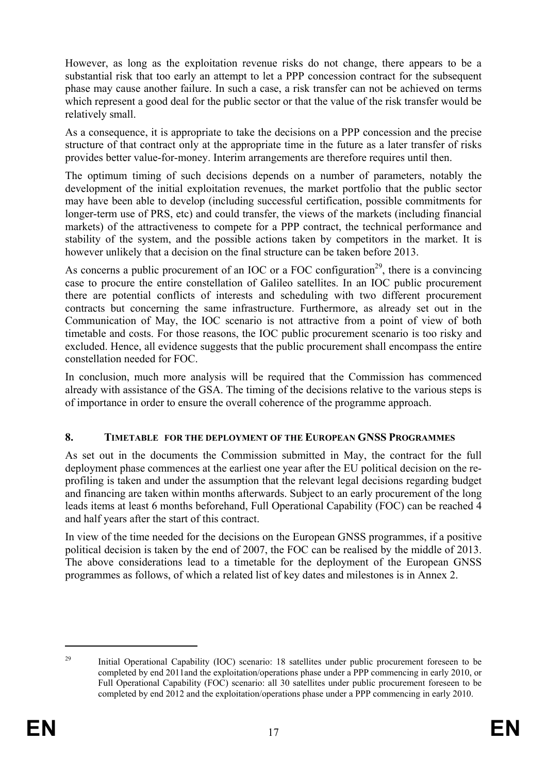However, as long as the exploitation revenue risks do not change, there appears to be a substantial risk that too early an attempt to let a PPP concession contract for the subsequent phase may cause another failure. In such a case, a risk transfer can not be achieved on terms which represent a good deal for the public sector or that the value of the risk transfer would be relatively small.

As a consequence, it is appropriate to take the decisions on a PPP concession and the precise structure of that contract only at the appropriate time in the future as a later transfer of risks provides better value-for-money. Interim arrangements are therefore requires until then.

The optimum timing of such decisions depends on a number of parameters, notably the development of the initial exploitation revenues, the market portfolio that the public sector may have been able to develop (including successful certification, possible commitments for longer-term use of PRS, etc) and could transfer, the views of the markets (including financial markets) of the attractiveness to compete for a PPP contract, the technical performance and stability of the system, and the possible actions taken by competitors in the market. It is however unlikely that a decision on the final structure can be taken before 2013.

As concerns a public procurement of an IOC or a FOC configuration<sup>29</sup>, there is a convincing case to procure the entire constellation of Galileo satellites. In an IOC public procurement there are potential conflicts of interests and scheduling with two different procurement contracts but concerning the same infrastructure. Furthermore, as already set out in the Communication of May, the IOC scenario is not attractive from a point of view of both timetable and costs. For those reasons, the IOC public procurement scenario is too risky and excluded. Hence, all evidence suggests that the public procurement shall encompass the entire constellation needed for FOC.

In conclusion, much more analysis will be required that the Commission has commenced already with assistance of the GSA. The timing of the decisions relative to the various steps is of importance in order to ensure the overall coherence of the programme approach.

### **8. TIMETABLE FOR THE DEPLOYMENT OF THE EUROPEAN GNSS PROGRAMMES**

As set out in the documents the Commission submitted in May, the contract for the full deployment phase commences at the earliest one year after the EU political decision on the reprofiling is taken and under the assumption that the relevant legal decisions regarding budget and financing are taken within months afterwards. Subject to an early procurement of the long leads items at least 6 months beforehand, Full Operational Capability (FOC) can be reached 4 and half years after the start of this contract.

In view of the time needed for the decisions on the European GNSS programmes, if a positive political decision is taken by the end of 2007, the FOC can be realised by the middle of 2013. The above considerations lead to a timetable for the deployment of the European GNSS programmes as follows, of which a related list of key dates and milestones is in Annex 2.

<sup>&</sup>lt;sup>29</sup> Initial Operational Capability (IOC) scenario: 18 satellites under public procurement foreseen to be completed by end 2011and the exploitation/operations phase under a PPP commencing in early 2010, or Full Operational Capability (FOC) scenario: all 30 satellites under public procurement foreseen to be completed by end 2012 and the exploitation/operations phase under a PPP commencing in early 2010.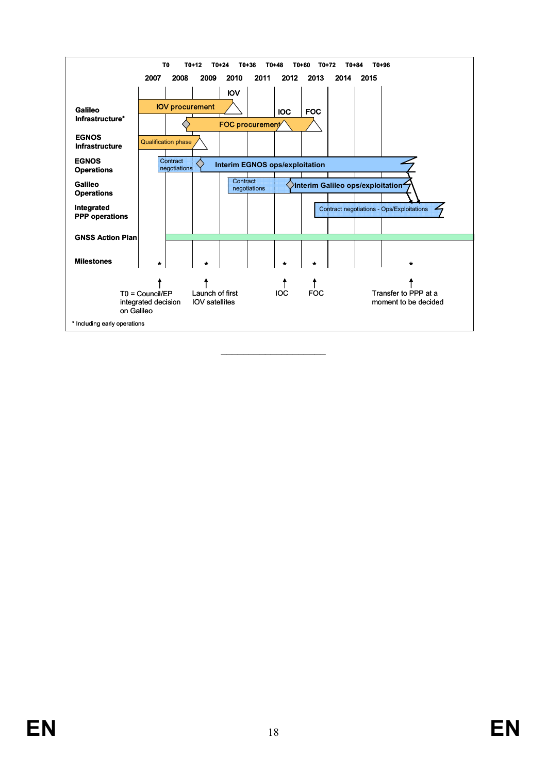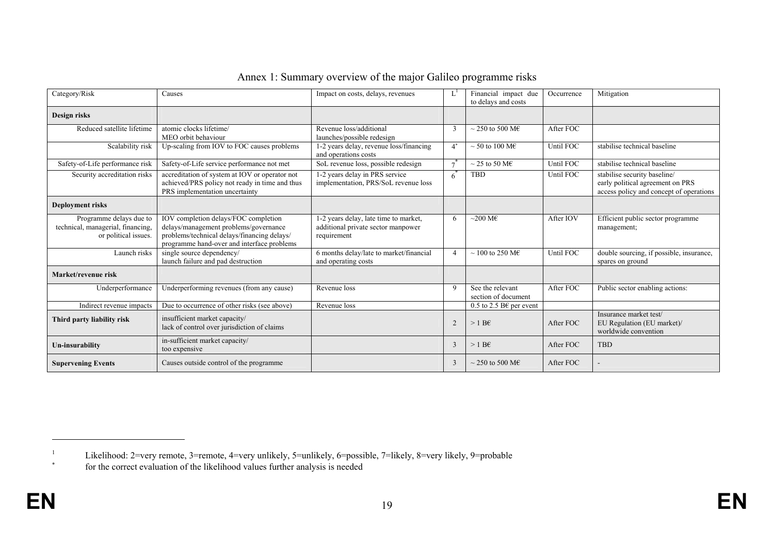| Category/Risk                                                                        | Causes                                                                                                                                                                     | Impact on costs, delays, revenues                                                          |                | Financial impact due<br>to delays and costs | Occurrence | Mitigation                                                                                                  |
|--------------------------------------------------------------------------------------|----------------------------------------------------------------------------------------------------------------------------------------------------------------------------|--------------------------------------------------------------------------------------------|----------------|---------------------------------------------|------------|-------------------------------------------------------------------------------------------------------------|
| Design risks                                                                         |                                                                                                                                                                            |                                                                                            |                |                                             |            |                                                                                                             |
| Reduced satellite lifetime                                                           | atomic clocks lifetime/<br>MEO orbit behaviour                                                                                                                             | Revenue loss/additional<br>launches/possible redesign                                      | 3              | $\sim$ 250 to 500 M <sub>E</sub>            | After FOC  |                                                                                                             |
| Scalability risk                                                                     | Up-scaling from IOV to FOC causes problems                                                                                                                                 | 1-2 years delay, revenue loss/financing<br>and operations costs                            | $4^*$          | $\sim$ 50 to 100 M <sub>E</sub>             | Until FOC  | stabilise technical baseline                                                                                |
| Safety-of-Life performance risk                                                      | Safety-of-Life service performance not met                                                                                                                                 | SoL revenue loss, possible redesign                                                        | $\tau^*$       | $\sim$ 25 to 50 M <sub>E</sub>              | Until FOC  | stabilise technical baseline                                                                                |
| Security accreditation risks                                                         | accreditation of system at IOV or operator not<br>achieved/PRS policy not ready in time and thus<br>PRS implementation uncertainty                                         | 1-2 years delay in PRS service<br>implementation, PRS/SoL revenue loss                     | 6              | TBD                                         | Until FOC  | stabilise security baseline/<br>early political agreement on PRS<br>access policy and concept of operations |
| <b>Deployment risks</b>                                                              |                                                                                                                                                                            |                                                                                            |                |                                             |            |                                                                                                             |
| Programme delays due to<br>technical, managerial, financing,<br>or political issues. | IOV completion delays/FOC completion<br>delays/management problems/governance<br>problems/technical delays/financing delays/<br>programme hand-over and interface problems | 1-2 years delay, late time to market,<br>additional private sector manpower<br>requirement | 6              | $\sim$ 200 M€                               | After IOV  | Efficient public sector programme<br>management;                                                            |
| Launch risks                                                                         | single source dependency/<br>launch failure and pad destruction                                                                                                            | 6 months delay/late to market/financial<br>and operating costs                             | 4              | $\sim$ 100 to 250 M <sub>E</sub>            | Until FOC  | double sourcing, if possible, insurance,<br>spares on ground                                                |
| Market/revenue risk                                                                  |                                                                                                                                                                            |                                                                                            |                |                                             |            |                                                                                                             |
| Underperformance                                                                     | Underperforming revenues (from any cause)                                                                                                                                  | Revenue loss                                                                               | $\mathbf Q$    | See the relevant<br>section of document     | After FOC  | Public sector enabling actions:                                                                             |
| Indirect revenue impacts                                                             | Due to occurrence of other risks (see above)                                                                                                                               | Revenue loss                                                                               |                | 0.5 to 2.5 B€ per event                     |            |                                                                                                             |
| Third party liability risk                                                           | insufficient market capacity/<br>lack of control over jurisdiction of claims                                                                                               |                                                                                            | $\mathfrak{D}$ | $>1$ B <sub>€</sub>                         | After FOC  | Insurance market test/<br>EU Regulation (EU market)/<br>worldwide convention                                |
| Un-insurability                                                                      | in-sufficient market capacity/<br>too expensive                                                                                                                            |                                                                                            | 3              | $>1$ B <sub>€</sub>                         | After FOC  | <b>TBD</b>                                                                                                  |
| <b>Supervening Events</b>                                                            | Causes outside control of the programme                                                                                                                                    |                                                                                            | 3              | $\sim$ 250 to 500 M $\epsilon$              | After FOC  |                                                                                                             |

### Annex 1: Summary overview of the major Galileo programme risks

**EN** 

<sup>&</sup>lt;sup>1</sup> Likelihood: 2=very remote, 3=remote, 4=very unlikely, 5=unlikely, 6=possible, 7=likely, 8=very likely, 9=probable